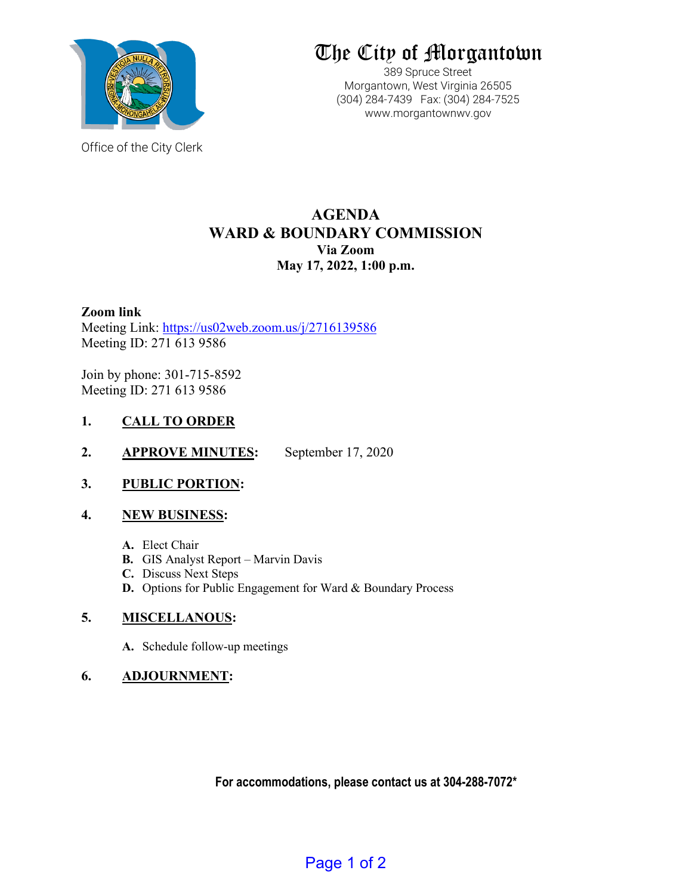

Office of the City Clerk

# The City of Morgantown

389 Spruce Street Morgantown, West Virginia 26505 (304) 284-7439 Fax: (304) 284-7525 www.morgantownwv.gov

# **AGENDA WARD & BOUNDARY COMMISSION Via Zoom May 17, 2022, 1:00 p.m.**

# **Zoom link**

Meeting Link:<https://us02web.zoom.us/j/2716139586> Meeting ID: 271 613 9586

Join by phone: 301-715-8592 Meeting ID: 271 613 9586

# **1. CALL TO ORDER**

**2. APPROVE MINUTES:** September 17, 2020

# **3. PUBLIC PORTION:**

# **4. NEW BUSINESS:**

- **A.** Elect Chair
- **B.** GIS Analyst Report Marvin Davis
- **C.** Discuss Next Steps
- **D.** Options for Public Engagement for Ward & Boundary Process

# **5. MISCELLANOUS:**

**A.** Schedule follow-up meetings

# **6. ADJOURNMENT:**

**For accommodations, please contact us at 304-288-7072\***

Page 1 of 2